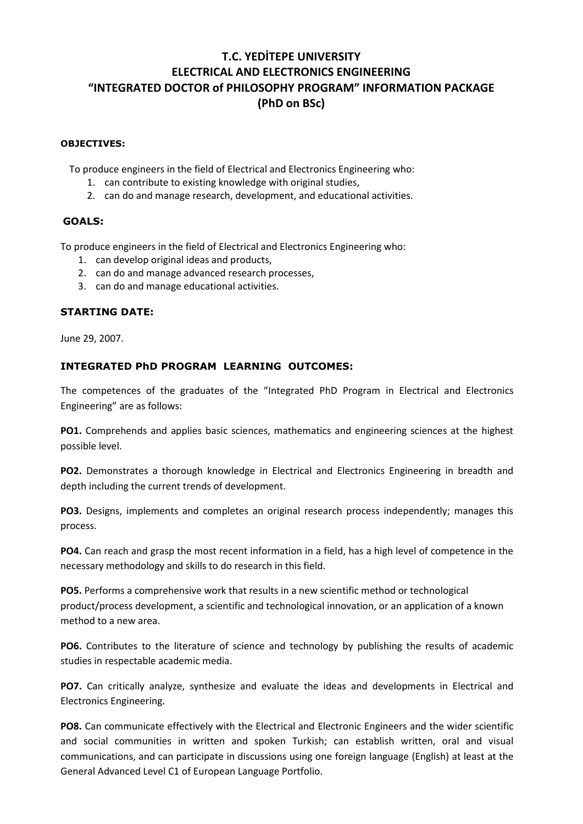# **T.C. YEDİTEPE UNIVERSITY ELECTRICAL AND ELECTRONICS ENGINEERING "INTEGRATED DOCTOR of PHILOSOPHY PROGRAM" INFORMATION PACKAGE (PhD on BSc)**

#### **OBJECTIVES:**

To produce engineers in the field of Electrical and Electronics Engineering who:

- 1. can contribute to existing knowledge with original studies,
- 2. can do and manage research, development, and educational activities.

#### **GOALS:**

To produce engineers in the field of Electrical and Electronics Engineering who:

- 1. can develop original ideas and products,
- 2. can do and manage advanced research processes,
- 3. can do and manage educational activities.

#### **STARTING DATE:**

June 29, 2007.

## **INTEGRATED PhD PROGRAM LEARNING OUTCOMES:**

The competences of the graduates of the "Integrated PhD Program in Electrical and Electronics Engineering" are as follows:

**PO1.** Comprehends and applies basic sciences, mathematics and engineering sciences at the highest possible level.

**PO2.** Demonstrates a thorough knowledge in Electrical and Electronics Engineering in breadth and depth including the current trends of development.

**PO3.** Designs, implements and completes an original research process independently; manages this process.

**PO4.** Can reach and grasp the most recent information in a field, has a high level of competence in the necessary methodology and skills to do research in this field.

**PO5.** Performs a comprehensive work that results in a new scientific method or technological product/process development, a scientific and technological innovation, or an application of a known method to a new area.

**PO6.** Contributes to the literature of science and technology by publishing the results of academic studies in respectable academic media.

**PO7.** Can critically analyze, synthesize and evaluate the ideas and developments in Electrical and Electronics Engineering.

**PO8.** Can communicate effectively with the Electrical and Electronic Engineers and the wider scientific and social communities in written and spoken Turkish; can establish written, oral and visual communications, and can participate in discussions using one foreign language (English) at least at the General Advanced Level C1 of European Language Portfolio.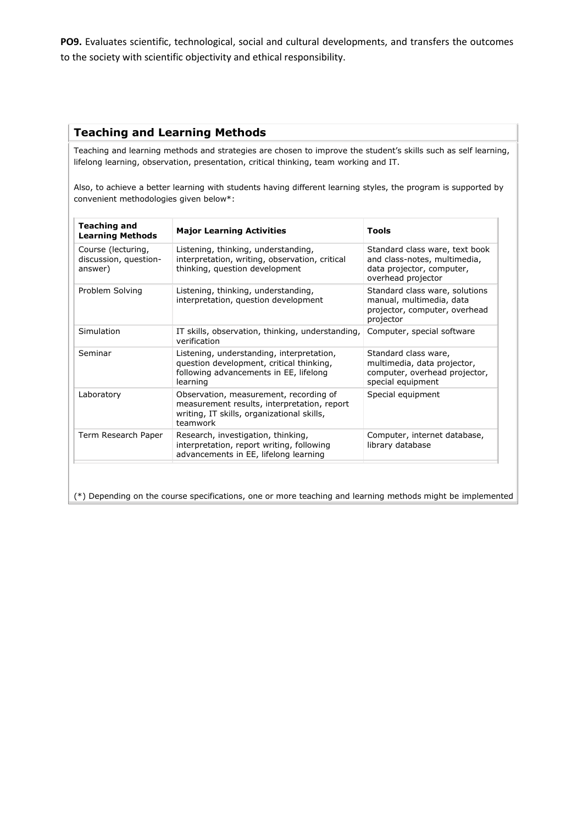**PO9.** Evaluates scientific, technological, social and cultural developments, and transfers the outcomes to the society with scientific objectivity and ethical responsibility.

# **Teaching and Learning Methods**

Teaching and learning methods and strategies are chosen to improve the student's skills such as self learning, lifelong learning, observation, presentation, critical thinking, team working and IT.

Also, to achieve a better learning with students having different learning styles, the program is supported by convenient methodologies given below\*:

| <b>Teaching and</b><br><b>Learning Methods</b>         | <b>Major Learning Activities</b>                                                                                                                | Tools                                                                                                             |
|--------------------------------------------------------|-------------------------------------------------------------------------------------------------------------------------------------------------|-------------------------------------------------------------------------------------------------------------------|
| Course (lecturing,<br>discussion, question-<br>answer) | Listening, thinking, understanding,<br>interpretation, writing, observation, critical<br>thinking, question development                         | Standard class ware, text book<br>and class-notes, multimedia,<br>data projector, computer,<br>overhead projector |
| Problem Solving                                        | Listening, thinking, understanding,<br>interpretation, question development                                                                     | Standard class ware, solutions<br>manual, multimedia, data<br>projector, computer, overhead<br>projector          |
| Simulation                                             | IT skills, observation, thinking, understanding,<br>verification                                                                                | Computer, special software                                                                                        |
| Seminar                                                | Listening, understanding, interpretation,<br>question development, critical thinking,<br>following advancements in EE, lifelong<br>learning     | Standard class ware,<br>multimedia, data projector,<br>computer, overhead projector,<br>special equipment         |
| Laboratory                                             | Observation, measurement, recording of<br>measurement results, interpretation, report<br>writing, IT skills, organizational skills,<br>teamwork | Special equipment                                                                                                 |
| Term Research Paper                                    | Research, investigation, thinking,<br>interpretation, report writing, following<br>advancements in EE, lifelong learning                        | Computer, internet database,<br>library database                                                                  |

(\*) Depending on the course specifications, one or more teaching and learning methods might be implemented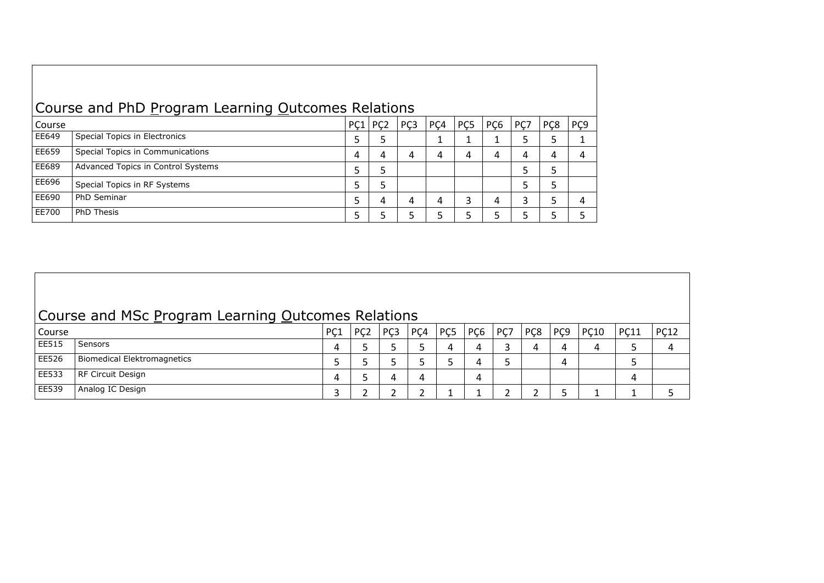| Course and PhD Program Learning Outcomes Relations |                                    |             |   |     |     |                 |                 |     |                 |                 |
|----------------------------------------------------|------------------------------------|-------------|---|-----|-----|-----------------|-----------------|-----|-----------------|-----------------|
| Course                                             |                                    | $PC1$ $PC2$ |   | PÇ3 | PÇ4 | PC <sub>5</sub> | PC <sub>6</sub> | PC7 | PC <sub>8</sub> | PÇ <sub>9</sub> |
| EE649                                              | Special Topics in Electronics      | 5           | 5 |     |     |                 |                 | 5   |                 |                 |
| EE659                                              | Special Topics in Communications   | 4           | 4 | 4   | 4   |                 | 4               | 4   | 4               |                 |
| EE689                                              | Advanced Topics in Control Systems |             | 5 |     |     |                 |                 |     |                 |                 |
| EE696                                              | Special Topics in RF Systems       |             | 5 |     |     |                 |                 | 5   | 5               |                 |
| EE690                                              | PhD Seminar                        |             | 4 | 4   | 4   | 3               | 4               | 3   |                 |                 |
| EE700                                              | PhD Thesis                         |             |   |     | 5   |                 |                 |     |                 |                 |

|        | Course and MSc Program Learning Outcomes Relations |                  |                 |                 |                  |                 |                 |     |                  |                 |             |             |             |
|--------|----------------------------------------------------|------------------|-----------------|-----------------|------------------|-----------------|-----------------|-----|------------------|-----------------|-------------|-------------|-------------|
| Course |                                                    | P <sub>C</sub> 1 | PC <sub>2</sub> | PC <sub>3</sub> | P <sub>C</sub> 4 | PC <sub>5</sub> | PC <sub>6</sub> | PC7 | P <sub>C</sub> 8 | PC <sub>9</sub> | <b>PC10</b> | <b>PC11</b> | <b>PC12</b> |
| EE515  | <b>Sensors</b>                                     | 4                |                 |                 |                  |                 |                 |     |                  | 4               | 4           | Ь           |             |
| EE526  | Biomedical Elektromagnetics                        |                  |                 |                 |                  |                 | 4               |     |                  | 4               |             |             |             |
| EE533  | RF Circuit Design                                  | 4                |                 |                 | 4                |                 | 4               |     |                  |                 |             | 4           |             |
| EE539  | Analog IC Design                                   |                  |                 |                 |                  |                 |                 |     |                  |                 |             |             |             |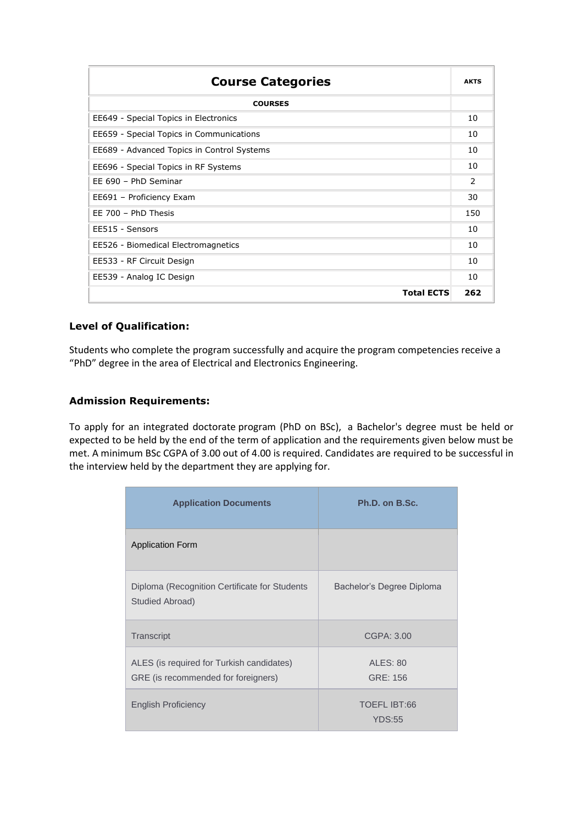| <b>Course Categories</b>                   | <b>AKTS</b>   |
|--------------------------------------------|---------------|
| <b>COURSES</b>                             |               |
| EE649 - Special Topics in Electronics      | 10            |
| EE659 - Special Topics in Communications   | 10            |
| EE689 - Advanced Topics in Control Systems | 10            |
| EE696 - Special Topics in RF Systems       | 10            |
| EE 690 - PhD Seminar                       | $\mathcal{P}$ |
| EE691 - Proficiency Exam                   | 30            |
| EE 700 - PhD Thesis                        | 150           |
| EE515 - Sensors                            | 10            |
| EE526 - Biomedical Electromagnetics        | 10            |
| EE533 - RF Circuit Design                  | 10            |
| EE539 - Analog IC Design                   | 10            |
| <b>Total ECTS</b>                          | 262           |

## **Level of Qualification:**

Students who complete the program successfully and acquire the program competencies receive a "PhD" degree in the area of Electrical and Electronics Engineering.

#### **Admission Requirements:**

To apply for an integrated doctorate program (PhD on BSc), a Bachelor's degree must be held or expected to be held by the end of the term of application and the requirements given below must be met. A minimum BSc CGPA of 3.00 out of 4.00 is required. Candidates are required to be successful in the interview held by the department they are applying for.

| <b>Application Documents</b>                                                     | Ph.D. on B.Sc.                       |  |  |  |  |  |
|----------------------------------------------------------------------------------|--------------------------------------|--|--|--|--|--|
| <b>Application Form</b>                                                          |                                      |  |  |  |  |  |
| Diploma (Recognition Certificate for Students<br>Studied Abroad)                 | Bachelor's Degree Diploma            |  |  |  |  |  |
| Transcript                                                                       | CGPA: 3.00                           |  |  |  |  |  |
| ALES (is required for Turkish candidates)<br>GRE (is recommended for foreigners) | <b>ALES: 80</b><br>GRE: 156          |  |  |  |  |  |
| <b>English Proficiency</b>                                                       | <b>TOEFL IBT:66</b><br><b>YDS:55</b> |  |  |  |  |  |